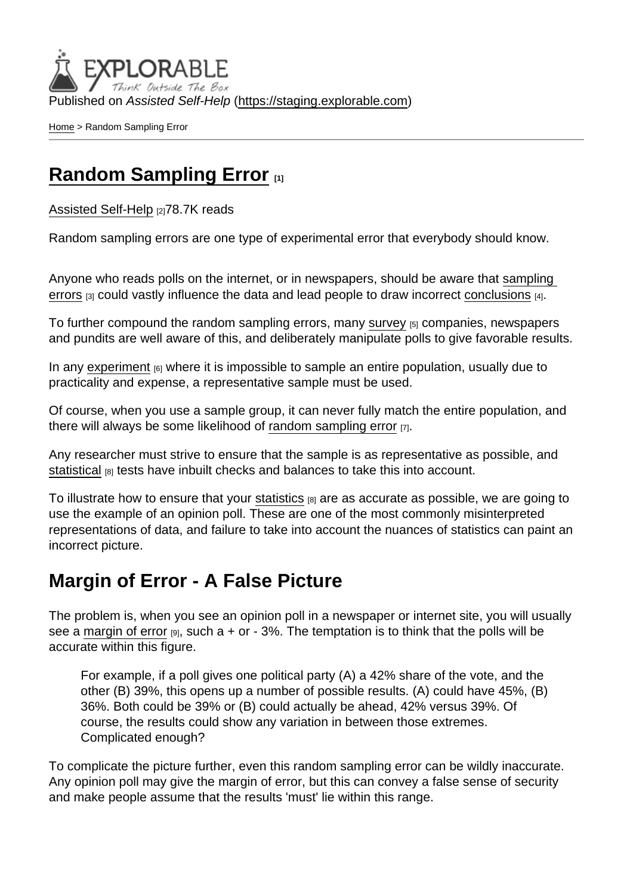Published on Assisted Self-Help [\(https://staging.explorable.com](https://staging.explorable.com))

[Home](https://staging.explorable.com/en) > Random Sampling Error

## [Random Sampling Error](https://staging.explorable.com/en/random-sampling-error) [1]

[Assisted Self-Help](https://staging.explorable.com/en) [2]78.7K reads

Random sampling errors are one type of experimental error that everybody should know.

Anyone who reads polls on the internet, or in newspapers, should be aware that [sampling](https://staging.explorable.com/sampling-error)  [errors](https://staging.explorable.com/sampling-error)  $[3]$  could vastly influence the data and lead people to draw incorrect [conclusions](https://staging.explorable.com/drawing-conclusions)  $[4]$ .

To further compound the random sampling errors, many [survey](https://staging.explorable.com/survey-research-design) [5] companies, newspapers and pundits are well aware of this, and deliberately manipulate polls to give favorable results.

In any [experiment](https://staging.explorable.com/experimental-research)  $_{[6]}$  where it is impossible to sample an entire population, usually due to practicality and expense, a representative sample must be used.

Of course, when you use a sample group, it can never fully match the entire population, and there will always be some likelihood of [random sampling error](http://www.pollingreport.com/sampling.htm)  $\overline{r}$ .

Any researcher must strive to ensure that the sample is as representative as possible, and [statistical](https://staging.explorable.com/statistics-tutorial) [8] tests have inbuilt checks and balances to take this into account.

To illustrate how to ensure that your [statistics](https://staging.explorable.com/statistics-tutorial) [8] are as accurate as possible, we are going to use the example of an opinion poll. These are one of the most commonly misinterpreted representations of data, and failure to take into account the nuances of statistics can paint an incorrect picture.

#### Margin of Error - A False Picture

The problem is, when you see an opinion poll in a newspaper or internet site, you will usually see a [margin of error](https://staging.explorable.com/statistics-margin-of-error)  $[9]$ , such a + or - 3%. The temptation is to think that the polls will be accurate within this figure.

For example, if a poll gives one political party (A) a 42% share of the vote, and the other (B) 39%, this opens up a number of possible results. (A) could have 45%, (B) 36%. Both could be 39% or (B) could actually be ahead, 42% versus 39%. Of course, the results could show any variation in between those extremes. Complicated enough?

To complicate the picture further, even this random sampling error can be wildly inaccurate. Any opinion poll may give the margin of error, but this can convey a false sense of security and make people assume that the results 'must' lie within this range.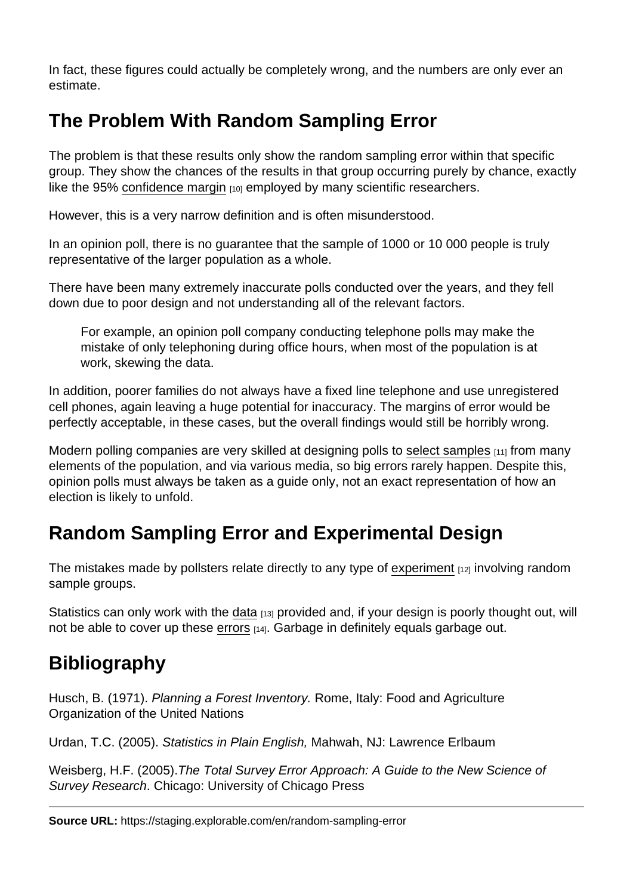In fact, these figures could actually be completely wrong, and the numbers are only ever an estimate.

# The Problem With Random Sampling Error

The problem is that these results only show the random sampling error within that specific group. They show the chances of the results in that group occurring purely by chance, exactly like the 95% [confidence margin](https://staging.explorable.com/statistics-confidence-interval)  $110$  employed by many scientific researchers.

However, this is a very narrow definition and is often misunderstood.

In an opinion poll, there is no guarantee that the sample of 1000 or 10 000 people is truly representative of the larger population as a whole.

There have been many extremely inaccurate polls conducted over the years, and they fell down due to poor design and not understanding all of the relevant factors.

For example, an opinion poll company conducting telephone polls may make the mistake of only telephoning during office hours, when most of the population is at work, skewing the data.

In addition, poorer families do not always have a fixed line telephone and use unregistered cell phones, again leaving a huge potential for inaccuracy. The margins of error would be perfectly acceptable, in these cases, but the overall findings would still be horribly wrong.

Modern polling companies are very skilled at designing polls to [select samples](https://staging.explorable.com/population-sampling)  $[11]$  from many elements of the population, and via various media, so big errors rarely happen. Despite this, opinion polls must always be taken as a guide only, not an exact representation of how an election is likely to unfold.

# Random Sampling Error and Experimental Design

The mistakes made by pollsters relate directly to any type of [experiment](https://staging.explorable.com/experimental-error) [12] involving random sample groups.

Statistics can only work with the [data](https://staging.explorable.com/statistical-data-sets) [13] provided and, if your design is poorly thought out, will not be able to cover up these [errors](https://staging.explorable.com/type-I-error) [14]. Garbage in definitely equals garbage out.

## **Bibliography**

Husch, B. (1971). Planning a Forest Inventory. Rome, Italy: Food and Agriculture Organization of the United Nations

Urdan, T.C. (2005). Statistics in Plain English, Mahwah, NJ: Lawrence Erlbaum

Weisberg, H.F. (2005).The Total Survey Error Approach: A Guide to the New Science of Survey Research. Chicago: University of Chicago Press